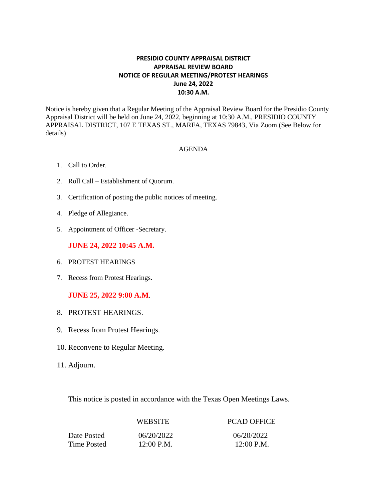# **PRESIDIO COUNTY APPRAISAL DISTRICT APPRAISAL REVIEW BOARD NOTICE OF REGULAR MEETING/PROTEST HEARINGS June 24, 2022 10:30 A.M.**

Notice is hereby given that a Regular Meeting of the Appraisal Review Board for the Presidio County Appraisal District will be held on June 24, 2022, beginning at 10:30 A.M., PRESIDIO COUNTY APPRAISAL DISTRICT, 107 E TEXAS ST., MARFA, TEXAS 79843, Via Zoom (See Below for details)

#### AGENDA

- 1. Call to Order.
- 2. Roll Call Establishment of Quorum.
- 3. Certification of posting the public notices of meeting.
- 4. Pledge of Allegiance.
- 5. Appointment of Officer -Secretary.

**JUNE 24, 2022 10:45 A.M.**

- 6. PROTEST HEARINGS
- 7. Recess from Protest Hearings.

### **JUNE 25, 2022 9:00 A.M**.

- 8. PROTEST HEARINGS.
- 9. Recess from Protest Hearings.
- 10. Reconvene to Regular Meeting.
- 11. Adjourn.

This notice is posted in accordance with the Texas Open Meetings Laws.

WEBSITE PCAD OFFICE

| Date Posted | 06/20/2022   | 06/20/2022 |  |
|-------------|--------------|------------|--|
| Time Posted | $12:00$ P.M. | 12:00 P.M. |  |